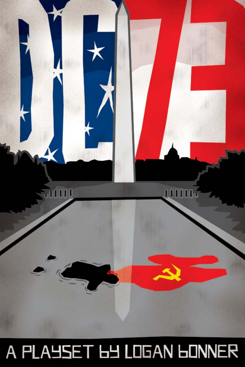

# A PLAYSET 6Y LOGAN GONNER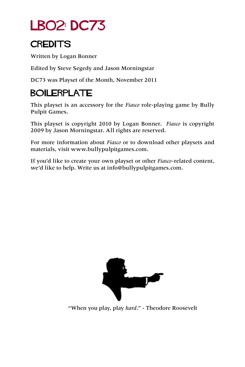## LB02: DC73

#### **CREDITS**

Written by Logan Bonner

Edited by Steve Segedy and Jason Morningstar

DC73 was Playset of the Month, November 2011

### **BOILERPLATE**

This playset is an accessory for the *Fiasco* role-playing game by Bully Pulpit Games.

This playset is copyright 2010 by Logan Bonner. *Fiasco* is copyright 2009 by Jason Morningstar. All rights are reserved.

For more information about *Fiasco* or to download other playsets and materials, visit [www.bullypulpitgames.com.](http://www.bullypulpitgames.com)

If you'd like to create your own playset or other *Fiasco*-related content, we'd like to help. Write us at [info@bullypulpitgames.com.](mailto:info%40bullypulpitgames.com?subject=)



"When you play, play *hard*." - Theodore Roosevelt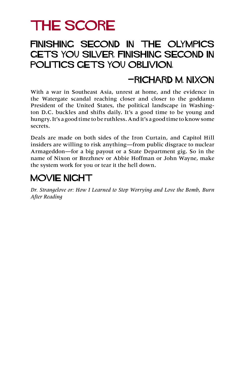## THE SCORE

#### Finishing second in the Olympics gets you silver. Finishing second in politics gets you oblivion.

#### —Richard M. Nixon

With a war in Southeast Asia, unrest at home, and the evidence in the Watergate scandal reaching closer and closer to the goddamn President of the United States, the political landscape in Washington D.C. buckles and shifts daily. It's a good time to be young and hungry. It's a good time to be ruthless. And it's a good time to know some secrets.

Deals are made on both sides of the Iron Curtain, and Capitol Hill insiders are willing to risk anything—from public disgrace to nuclear Armageddon—for a big payout or a State Department gig. So in the name of Nixon or Brezhnev or Abbie Hoffman or John Wayne, make the system work for you or tear it the hell down.

#### MOVIE NIGHT

*Dr. Strangelove or: How I Learned to Stop Worrying and Love the Bomb*, *Burn After Reading*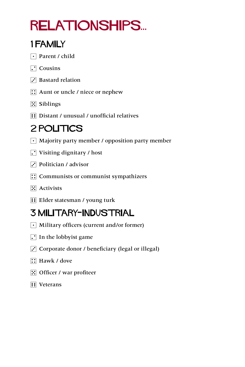## relationships...

### 1 Family

- $\lceil \cdot \rceil$  Parent / child
- $\Box$  Cousins
- $\overline{S}$  Bastard relation
- $\boxed{\therefore}$  Aunt or uncle / niece or nephew
- **5** Siblings
- **1** Distant / unusual / unofficial relatives

## 2 POLITICS

- $\lceil \cdot \rceil$  Majority party member / opposition party member
- $\boxed{\cdot}$  Visiting dignitary / host
- $\overline{S}$  Politician / advisor
- $\left| \right\rangle$ : Communists or communist sympathizers
- $\mathbb{E}$  Activists
- **Filler statesman / young turk**

## 3 Military-Industrial

- $\lceil \cdot \rceil$  Military officers (current and/or former)
- $\Gamma$  In the lobbyist game
- $\ddot{\cdot}$  Corporate donor / beneficiary (legal or illegal)
- $\boxed{\therefore}$  Hawk / dove
- $\boxed{5}$  Officer / war profiteer
- **ii** Veterans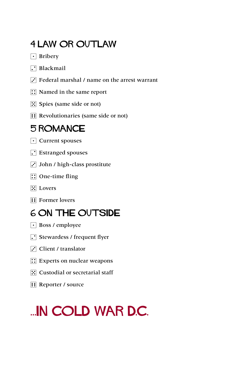#### **4 LAW OR OUTLAW**

- $\lceil \cdot \rceil$  Bribery
- $\Box$  Blackmail
- $\ddot{\cdot}$  Federal marshal / name on the arrest warrant
- **1**: Named in the same report
- $\mathbb{E}$  Spies (same side or not)
- **Fill Revolutionaries (same side or not)**

#### 5 Romance

- $\lceil \cdot \rceil$  Current spouses
- **[.**] Estranged spouses
- $\ddot{\cdot}$  John / high-class prostitute
- $\boxed{\therefore}$  One-time fling
- $\boxed{\mathbb{R}}$  Lovers
- **1**: Former lovers

### 6 On the Outside

- Boss / employee
- $\Gamma$  Stewardess / frequent flyer
- $\overline{S}$  Client / translator
- $\boxed{\therefore}$  Experts on nuclear weapons
- $\mathbb{E}$  Custodial or secretarial staff
- **1** Reporter / source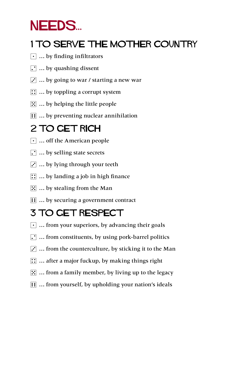## NEEDS...

### 1 TO SERVE THE MOTHER COUNTRY

- $\lceil \cdot \rceil$  ... by finding infiltrators
- $\Gamma$  ... by quashing dissent
- $\ddot{\cdot}$  ... by going to war / starting a new war
- $\boxed{\therefore}$  ... by toppling a corrupt system
- $\mathbb{E}$  ... by helping the little people
- $\mathbf{F}$   $\mathbf{F}$  ... by preventing nuclear annihilation

### 2 TO GET RICH

- $\lceil \cdot \rceil$  ... off the American people
- $\Gamma$  ... by selling state secrets
- $\mathbf{3}$  ... by lying through your teeth
- $\boxed{\therefore}$  ... by landing a job in high finance
- $\boxed{5}$  ... by stealing from the Man
- **11** ... by securing a government contract

## 3 To Get Respect

- $\lceil \cdot \rceil$  ... from your superiors, by advancing their goals
- $\Gamma$  ... from constituents, by using pork-barrel politics
- $\overline{3}$  ... from the counterculture, by sticking it to the Man
- $\dddot{\mathbf{u}}$  ... after a major fuckup, by making things right
- $\mathbb{E}$  ... from a family member, by living up to the legacy
- **11** ... from yourself, by upholding your nation's ideals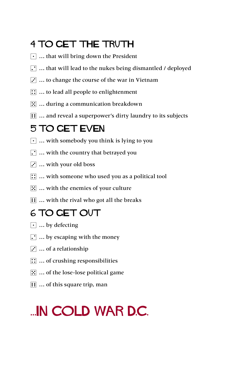### 4 TO GET THE TRUTH

- $\lceil \cdot \rceil$  ... that will bring down the President
- $\lceil \cdot \rceil$  ... that will lead to the nukes being dismantled / deployed
- $\ddot{\cdot}$  ... to change the course of the war in Vietnam
- $\boxed{\therefore}$  ... to lead all people to enlightenment
- $\mathbb{E}$  ... during a communication breakdown
- **11** ... and reveal a superpower's dirty laundry to its subjects

#### 5 TO GET EVEN

- $\lceil \cdot \rceil$  ... with somebody you think is lying to you
- $\cdot$   $\cdot$   $\cdot$  with the country that betrayed you
- $\ddot{\cdot}$  ... with your old boss
- $\mathbb{G}$  ... with someone who used you as a political tool
- $\mathbb{E}$  ... with the enemies of your culture
- **11** ... with the rival who got all the breaks

#### 6 To Get Out

- $\lceil \cdot \rceil$  ... by defecting
- $\lceil \cdot \rceil$  ... by escaping with the money
- $\overline{S}$  ... of a relationship
- $\boxed{\therefore}$  ... of crushing responsibilities
- $\boxed{3}$  ... of the lose-lose political game
- $\boxed{ii}$  ... of this square trip, man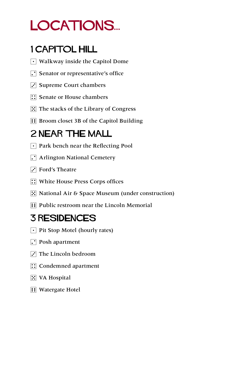## LOCATIONS...

### 1 Capitol Hill

- $\lceil \cdot \rceil$  Walkway inside the Capitol Dome
- $\Gamma$  Senator or representative's office
- $\ddot{\cdot}$  Supreme Court chambers
- **1**: Senate or House chambers
- $\boxed{5}$  The stacks of the Library of Congress
- **13 Broom closet 3B of the Capitol Building**

### 2 Near the Mall

- Park bench near the Reflecting Pool
- $\Gamma$  Arlington National Cemetery
- $\overline{S}$  Ford's Theatre
- **::** White House Press Corps offices
- 5 National Air & Space Museum (under construction)
- **Fill Public restroom near the Lincoln Memorial**

### 3 Residences

- $\lceil \cdot \rceil$  Pit Stop Motel (hourly rates)
- $\Gamma$  Posh apartment
- $\overline{3}$  The Lincoln bedroom
- **1**: Condemned apartment
- $\mathbb{E}$  VA Hospital
- **1** Watergate Hotel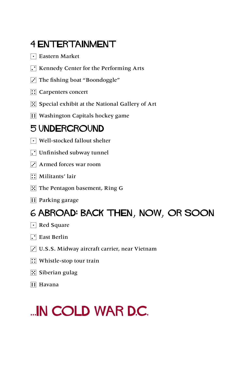### 4 Entertainment

- $\lceil \cdot \rceil$  Eastern Market
- $\Gamma$  Kennedy Center for the Performing Arts
- $\Gamma$  The fishing boat "Boondoggle"
- **::** Carpenters concert
- $\mathbb{E}$  Special exhibit at the National Gallery of Art
- **11 Washington Capitals hockey game**

#### 5 Underground

- $\lceil \cdot \rceil$  Well-stocked fallout shelter
- $\Gamma$  Unfinished subway tunnel
- $\ddot{\cdot}$  Armed forces war room
- $\boxed{\therefore}$  Militants' lair
- **F.** The Pentagon basement, Ring G.
- **1** Parking garage

#### 6 Abroad: Back then, now, or soon

- $\lceil \cdot \rceil$  Red Square
- $\Gamma$  East Berlin
- 3 U.S.S. Midway aircraft carrier, near Vietnam
- $\boxed{\therefore}$  Whistle-stop tour train
- $\boxed{5}$  Siberian gulag
- **1** Havana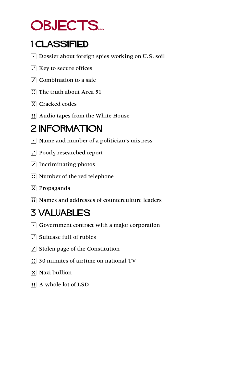## OBJECTS...

### 1 Classified

- $\lceil \cdot \rceil$  Dossier about foreign spies working on U.S. soil
- $\Gamma$  Key to secure offices
- $\overline{S}$  Combination to a safe
- $\boxed{\therefore}$  The truth about Area 51
- **5.** Cracked codes
- **1**: Audio tapes from the White House

### 2 **INFORMATION**

- $\lceil \cdot \rceil$  Name and number of a politician's mistress
- $\Gamma$  Poorly researched report
- $\cdot$  Incriminating photos
- $\boxed{\therefore}$  Number of the red telephone
- $\mathbb{E}$  Propaganda
- **11** Names and addresses of counterculture leaders

## 3 Valuables

- $\lceil \cdot \rceil$  Government contract with a major corporation
- $\Gamma$  Suitcase full of rubles
- $\overline{3}$  Stolen page of the Constitution
- $\boxed{1}$  30 minutes of airtime on national TV
- $\mathbb{E}$  Nazi bullion
- **1** A whole lot of LSD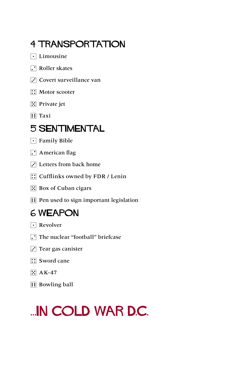### 4 Transportation

- $\lceil \cdot \rceil$  Limousine
- **7** Roller skates
- $\overline{S}$  Covert surveillance van
- $\boxed{\therefore}$  Motor scooter
- $\mathbb{E}$  Private jet
- $\overline{H}$  Taxi

#### 5 Sentimental

- $\lceil \cdot \rceil$  Family Bible
- $\cdot$  American flag
- $\overline{S}$  Letters from back home
- **12 Cufflinks owned by FDR / Lenin**
- 5 Box of Cuban cigars
- **Fill Pen used to sign important legislation**

#### 6 Weapon

- $\lceil \cdot \rceil$  Revolver
- $\Gamma$  The nuclear "football" briefcase
- $\Gamma$  Tear gas canister
- $\boxed{\therefore}$  Sword cane
- $\mathbb{E}$  AK-47
- $\boxed{\vdots}$  Bowling ball